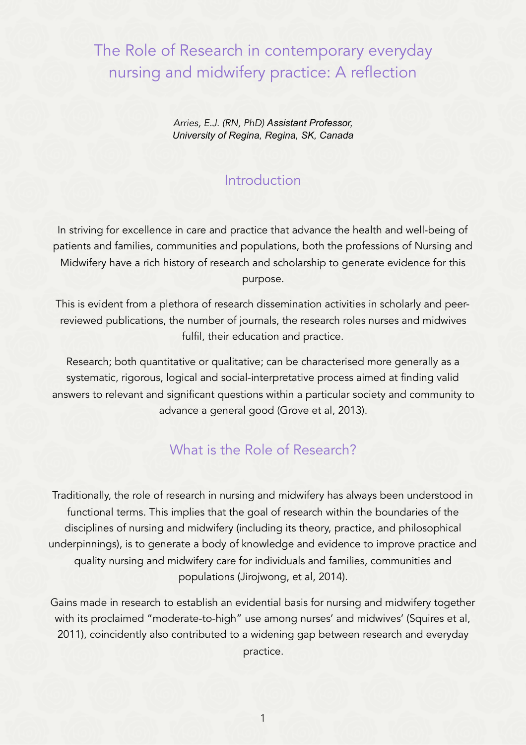# The Role of Research in contemporary everyday nursing and midwifery practice: A reflection

*Arries, E.J. (RN, PhD) Assistant Professor, University of Regina, Regina, SK, Canada*

#### Introduction

In striving for excellence in care and practice that advance the health and well-being of patients and families, communities and populations, both the professions of Nursing and Midwifery have a rich history of research and scholarship to generate evidence for this purpose.

This is evident from a plethora of research dissemination activities in scholarly and peerreviewed publications, the number of journals, the research roles nurses and midwives fulfil, their education and practice.

Research; both quantitative or qualitative; can be characterised more generally as a systematic, rigorous, logical and social-interpretative process aimed at finding valid answers to relevant and significant questions within a particular society and community to advance a general good (Grove et al, 2013).

#### What is the Role of Research?

Traditionally, the role of research in nursing and midwifery has always been understood in functional terms. This implies that the goal of research within the boundaries of the disciplines of nursing and midwifery (including its theory, practice, and philosophical underpinnings), is to generate a body of knowledge and evidence to improve practice and quality nursing and midwifery care for individuals and families, communities and populations (Jirojwong, et al, 2014).

Gains made in research to establish an evidential basis for nursing and midwifery together with its proclaimed "moderate-to-high" use among nurses' and midwives' (Squires et al, 2011), coincidently also contributed to a widening gap between research and everyday practice.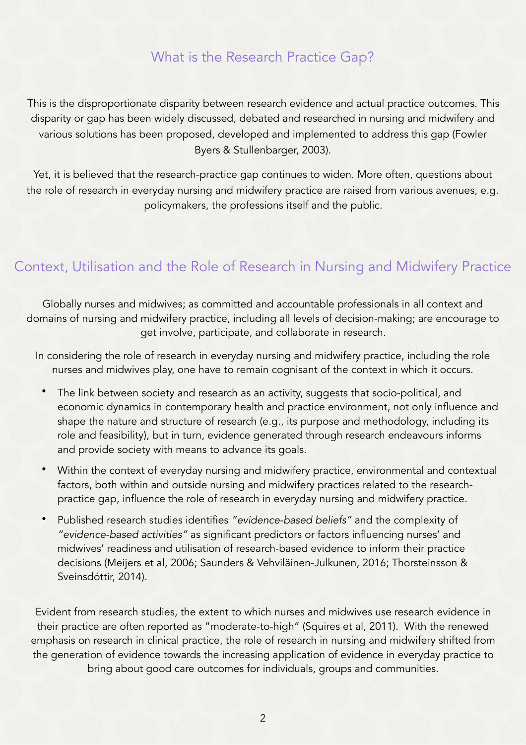### What is the Research Practice Gap?

This is the disproportionate disparity between research evidence and actual practice outcomes. This disparity or gap has been widely discussed, debated and researched in nursing and midwifery and various solutions has been proposed, developed and implemented to address this gap (Fowler Byers & Stullenbarger, 2003).

Yet, it is believed that the research-practice gap continues to widen. More often, questions about the role of research in everyday nursing and midwifery practice are raised from various avenues, e.g. policymakers, the professions itself and the public.

#### Context, Utilisation and the Role of Research in Nursing and Midwifery Practice

Globally nurses and midwives; as committed and accountable professionals in all context and domains of nursing and midwifery practice, including all levels of decision-making; are encourage to get involve, participate, and collaborate in research.

In considering the role of research in everyday nursing and midwifery practice, including the role nurses and midwives play, one have to remain cognisant of the context in which it occurs.

- The link between society and research as an activity, suggests that socio-political, and economic dynamics in contemporary health and practice environment, not only influence and shape the nature and structure of research (e.g., its purpose and methodology, including its role and feasibility), but in turn, evidence generated through research endeavours informs and provide society with means to advance its goals.
- Within the context of everyday nursing and midwifery practice, environmental and contextual factors, both within and outside nursing and midwifery practices related to the researchpractice gap, influence the role of research in everyday nursing and midwifery practice.
- Published research studies identifies *"evidence-based beliefs"* and the complexity of *"evidence-based activities"* as significant predictors or factors influencing nurses' and midwives' readiness and utilisation of research-based evidence to inform their practice decisions (Meijers et al, 2006; Saunders & Vehviläinen-Julkunen, 2016; Thorsteinsson & Sveinsdóttir, 2014).

Evident from research studies, the extent to which nurses and midwives use research evidence in their practice are often reported as "moderate-to-high" (Squires et al, 2011). With the renewed emphasis on research in clinical practice, the role of research in nursing and midwifery shifted from the generation of evidence towards the increasing application of evidence in everyday practice to bring about good care outcomes for individuals, groups and communities.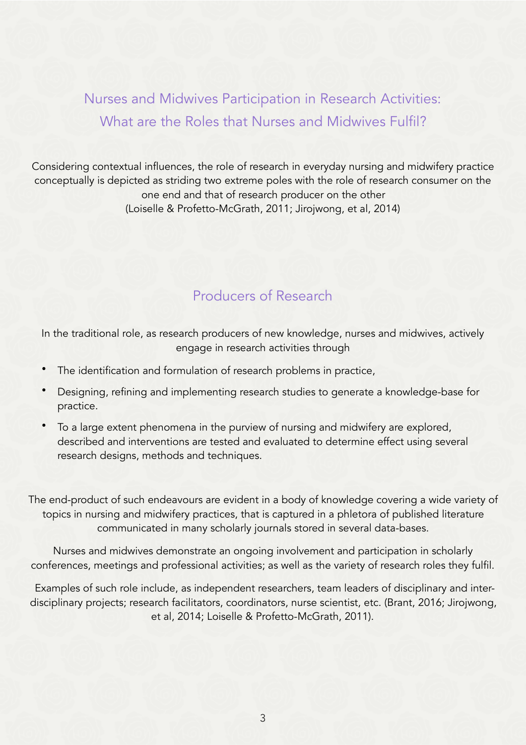Nurses and Midwives Participation in Research Activities: What are the Roles that Nurses and Midwives Fulfil?

Considering contextual influences, the role of research in everyday nursing and midwifery practice conceptually is depicted as striding two extreme poles with the role of research consumer on the one end and that of research producer on the other (Loiselle & Profetto-McGrath, 2011; Jirojwong, et al, 2014)

## Producers of Research

In the traditional role, as research producers of new knowledge, nurses and midwives, actively engage in research activities through

- The identification and formulation of research problems in practice,
- Designing, refining and implementing research studies to generate a knowledge-base for practice.
- To a large extent phenomena in the purview of nursing and midwifery are explored, described and interventions are tested and evaluated to determine effect using several research designs, methods and techniques.

The end-product of such endeavours are evident in a body of knowledge covering a wide variety of topics in nursing and midwifery practices, that is captured in a phletora of published literature communicated in many scholarly journals stored in several data-bases.

Nurses and midwives demonstrate an ongoing involvement and participation in scholarly conferences, meetings and professional activities; as well as the variety of research roles they fulfil.

 Examples of such role include, as independent researchers, team leaders of disciplinary and interdisciplinary projects; research facilitators, coordinators, nurse scientist, etc. (Brant, 2016; Jirojwong, et al, 2014; Loiselle & Profetto-McGrath, 2011).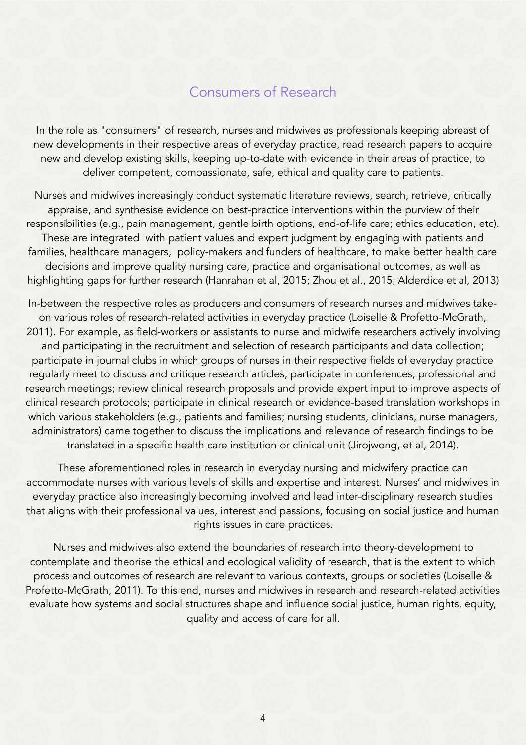#### Consumers of Research

In the role as "consumers" of research, nurses and midwives as professionals keeping abreast of new developments in their respective areas of everyday practice, read research papers to acquire new and develop existing skills, keeping up-to-date with evidence in their areas of practice, to deliver competent, compassionate, safe, ethical and quality care to patients.

Nurses and midwives increasingly conduct systematic literature reviews, search, retrieve, critically appraise, and synthesise evidence on best-practice interventions within the purview of their responsibilities (e.g., pain management, gentle birth options, end-of-life care; ethics education, etc). These are integrated with patient values and expert judgment by engaging with patients and families, healthcare managers, policy-makers and funders of healthcare, to make better health care decisions and improve quality nursing care, practice and organisational outcomes, as well as highlighting gaps for further research (Hanrahan et al, 2015; Zhou et al., 2015; Alderdice et al, 2013)

In-between the respective roles as producers and consumers of research nurses and midwives takeon various roles of research-related activities in everyday practice (Loiselle & Profetto-McGrath, 2011). For example, as field-workers or assistants to nurse and midwife researchers actively involving and participating in the recruitment and selection of research participants and data collection; participate in journal clubs in which groups of nurses in their respective fields of everyday practice regularly meet to discuss and critique research articles; participate in conferences, professional and research meetings; review clinical research proposals and provide expert input to improve aspects of clinical research protocols; participate in clinical research or evidence-based translation workshops in which various stakeholders (e.g., patients and families; nursing students, clinicians, nurse managers, administrators) came together to discuss the implications and relevance of research findings to be translated in a specific health care institution or clinical unit (Jirojwong, et al, 2014).

These aforementioned roles in research in everyday nursing and midwifery practice can accommodate nurses with various levels of skills and expertise and interest. Nurses' and midwives in everyday practice also increasingly becoming involved and lead inter-disciplinary research studies that aligns with their professional values, interest and passions, focusing on social justice and human rights issues in care practices.

Nurses and midwives also extend the boundaries of research into theory-development to contemplate and theorise the ethical and ecological validity of research, that is the extent to which process and outcomes of research are relevant to various contexts, groups or societies (Loiselle & Profetto-McGrath, 2011). To this end, nurses and midwives in research and research-related activities evaluate how systems and social structures shape and influence social justice, human rights, equity, quality and access of care for all.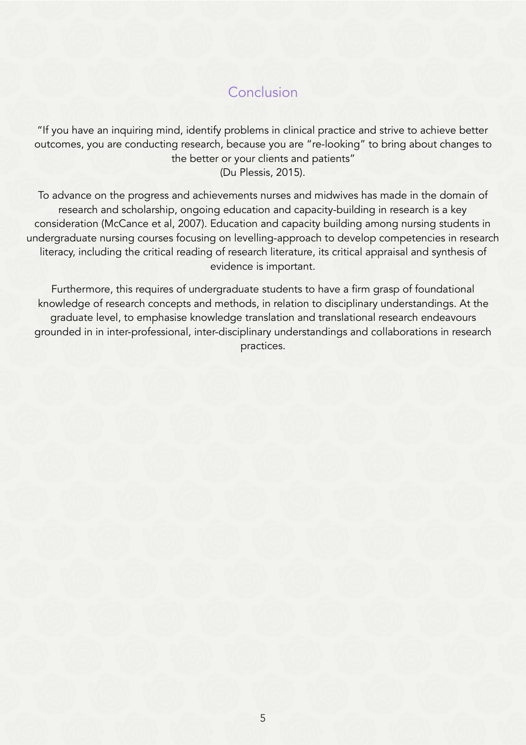## Conclusion

"If you have an inquiring mind, identify problems in clinical practice and strive to achieve better outcomes, you are conducting research, because you are "re-looking" to bring about changes to the better or your clients and patients" (Du Plessis, 2015).

To advance on the progress and achievements nurses and midwives has made in the domain of research and scholarship, ongoing education and capacity-building in research is a key consideration (McCance et al, 2007). Education and capacity building among nursing students in undergraduate nursing courses focusing on levelling-approach to develop competencies in research literacy, including the critical reading of research literature, its critical appraisal and synthesis of evidence is important.

Furthermore, this requires of undergraduate students to have a firm grasp of foundational knowledge of research concepts and methods, in relation to disciplinary understandings. At the graduate level, to emphasise knowledge translation and translational research endeavours grounded in in inter-professional, inter-disciplinary understandings and collaborations in research practices.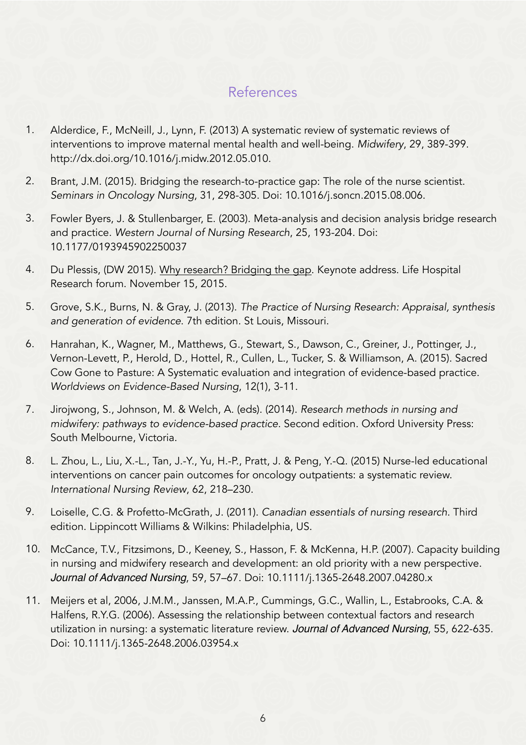## References

- 1. Alderdice, F., McNeill, J., Lynn, F. (2013) A systematic review of systematic reviews of interventions to improve maternal mental health and well-being. *Midwifery*, 29, 389-399. http://dx.doi.org/10.1016/j.midw.2012.05.010.
- 2. Brant, J.M. (2015). Bridging the research-to-practice gap: The role of the nurse scientist. *Seminars in Oncology Nursing*, 31, 298-305. Doi: 10.1016/j.soncn.2015.08.006.
- 3. Fowler Byers, J. & Stullenbarger, E. (2003). Meta-analysis and decision analysis bridge research and practice. *Western Journal of Nursing Research*, 25, 193-204. Doi: 10.1177/0193945902250037
- 4. Du Plessis, (DW 2015). Why research? Bridging the gap. Keynote address. Life Hospital Research forum. November 15, 2015.
- 5. Grove, S.K., Burns, N. & Gray, J. (2013). *The Practice of Nursing Research: Appraisal, synthesis and generation of evidence*. 7th edition. St Louis, Missouri.
- 6. Hanrahan, K., Wagner, M., Matthews, G., Stewart, S., Dawson, C., Greiner, J., Pottinger, J., Vernon-Levett, P., Herold, D., Hottel, R., Cullen, L., Tucker, S. & Williamson, A. (2015). Sacred Cow Gone to Pasture: A Systematic evaluation and integration of evidence-based practice. *Worldviews on Evidence-Based Nursing*, 12(1), 3-11.
- 7. Jirojwong, S., Johnson, M. & Welch, A. (eds). (2014). *Research methods in nursing and midwifery: pathways to evidence-based practice*. Second edition. Oxford University Press: South Melbourne, Victoria.
- 8. L. Zhou, L., Liu, X.-L., Tan, J.-Y., Yu, H.-P., Pratt, J. & Peng, Y.-Q. (2015) Nurse-led educational interventions on cancer pain outcomes for oncology outpatients: a systematic review. *International Nursing Review*, 62, 218–230.
- 9. Loiselle, C.G. & Profetto-McGrath, J. (2011). *Canadian essentials of nursing research*. Third edition. Lippincott Williams & Wilkins: Philadelphia, US.
- 10. McCance, T.V., Fitzsimons, D., Keeney, S., Hasson, F. & McKenna, H.P. (2007). Capacity building in nursing and midwifery research and development: an old priority with a new perspective. *Journal of Advanced Nursing*, 59, 57–67. Doi: 10.1111/j.1365-2648.2007.04280.x
- 11. Meijers et al, 2006, J.M.M., Janssen, M.A.P., Cummings, G.C., Wallin, L., Estabrooks, C.A. & Halfens, R.Y.G. (2006). Assessing the relationship between contextual factors and research utilization in nursing: a systematic literature review. *Journal of Advanced Nursing*, 55, 622-635. Doi: 10.1111/j.1365-2648.2006.03954.x